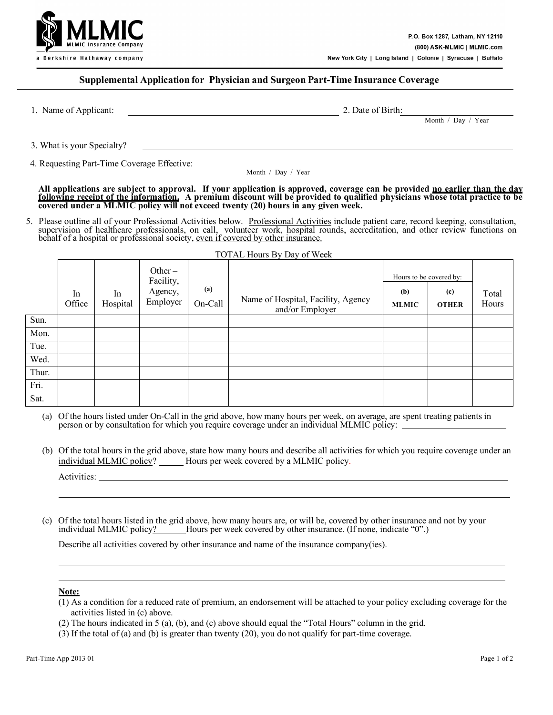

## **Supplemental Application for Physician and Surgeon Part-Time Insurance Coverage**

1. Name of Applicant: 2. Date of Birth:

Month / Day / Year

3. What is your Specialty?

4. Requesting Part-Time Coverage Effective:

Month / Day / Year

**All applications are subject to approval. If your application is approved, coverage can be provided no earlier than the day following receipt of the information. A premium discount will be provided to qualified physicians whose total practice to be covered under a MLMIC policy will not exceed twenty (20) hours in any given week.**

5. Please outline all of your Professional Activities below. Professional Activities include patient care, record keeping, consultation, supervision of healthcare professionals, on call, volunteer work, hospital rounds, accreditation, and other review functions on behalf of a hospital or professional society, even if covered by other insurance.

|       |              |                |                                               |                | <b>TOTAL Hours By Day of Week</b>                     |                                                |                     |                |
|-------|--------------|----------------|-----------------------------------------------|----------------|-------------------------------------------------------|------------------------------------------------|---------------------|----------------|
|       | In<br>Office | In<br>Hospital | Other $-$<br>Facility,<br>Agency,<br>Employer | (a)<br>On-Call | Name of Hospital, Facility, Agency<br>and/or Employer | Hours to be covered by:<br>(b)<br><b>MLMIC</b> | (c)<br><b>OTHER</b> | Total<br>Hours |
| Sun.  |              |                |                                               |                |                                                       |                                                |                     |                |
| Mon.  |              |                |                                               |                |                                                       |                                                |                     |                |
| Tue.  |              |                |                                               |                |                                                       |                                                |                     |                |
| Wed.  |              |                |                                               |                |                                                       |                                                |                     |                |
| Thur. |              |                |                                               |                |                                                       |                                                |                     |                |
| Fri.  |              |                |                                               |                |                                                       |                                                |                     |                |
| Sat.  |              |                |                                               |                |                                                       |                                                |                     |                |

(a) Of the hours listed under On-Call in the grid above, how many hours per week, on average, are spent treating patients in person or by consultation for which you require coverage under an individual MLMIC policy:

(b) Of the total hours in the grid above, state how many hours and describe all activities for which you require coverage under an individual MLMIC policy? Hours per week covered by a MLMIC policy.

(c) Of the total hours listed in the grid above, how many hours are, or will be, covered by other insurance and not by your individual MLMIC policy? Hours per week covered by other insurance. (If none, indicate "0".)

Describe all activities covered by other insurance and name of the insurance company(ies).

## **Note:**

- (1) As a condition for a reduced rate of premium, an endorsement will be attached to your policy excluding coverage for the activities listed in (c) above.
- (2) The hours indicated in 5 (a), (b), and (c) above should equal the "Total Hours" column in the grid.
- (3) If the total of (a) and (b) is greater than twenty (20), you do not qualify for part-time coverage.

Activities: